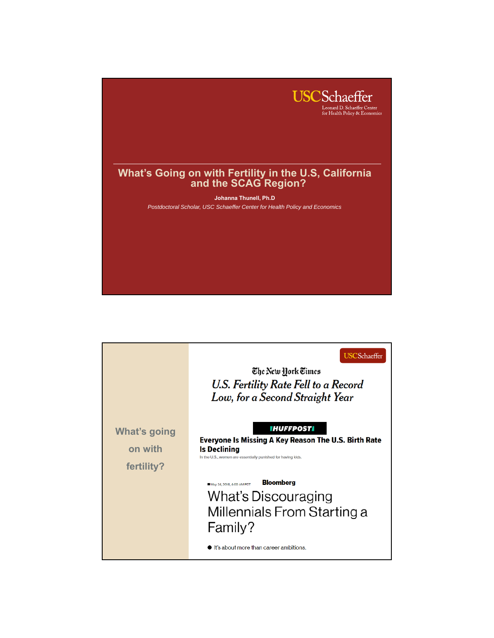

|                                       | <b>USCS</b> chaeffer<br>The New Hork Times<br>U.S. Fertility Rate Fell to a Record<br>Low, for a Second Straight Year                                            |
|---------------------------------------|------------------------------------------------------------------------------------------------------------------------------------------------------------------|
| What's going<br>on with<br>fertility? | <b>IHUFFPOSTI</b><br>Everyone Is Missing A Key Reason The U.S. Birth Rate<br><b>Is Declining</b><br>In the U.S., women are essentially punished for having kids. |
|                                       | <b>Bloomberg</b><br>May 24, 2018, 4:00 AM PDT<br><b>What's Discouraging</b><br>Millennials From Starting a<br>Family?<br>It's about more than career ambitions.  |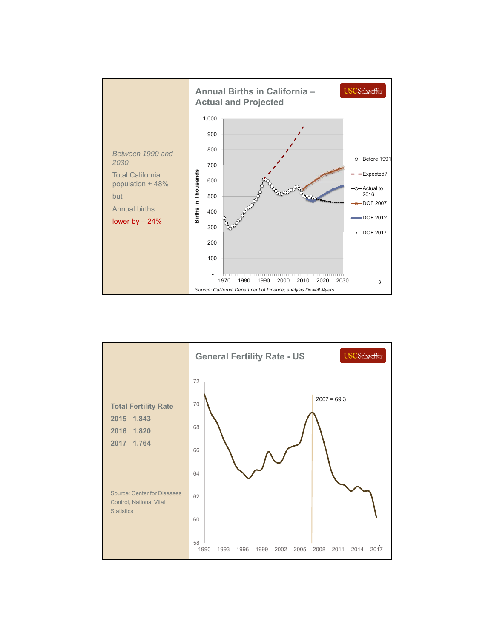

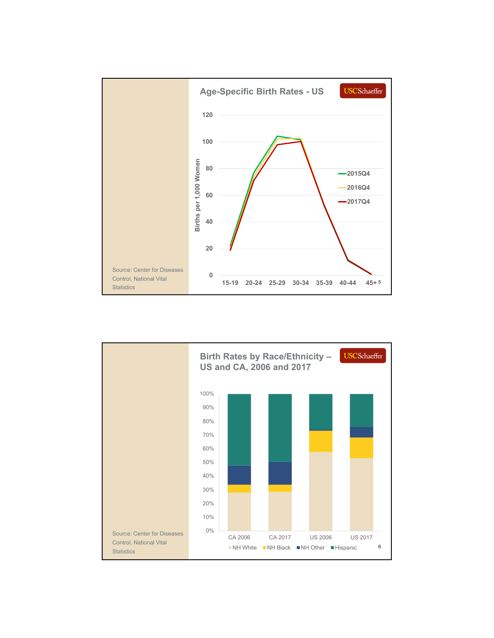

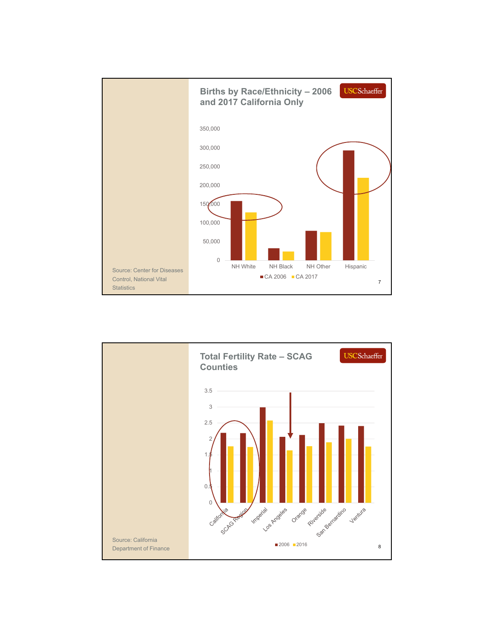

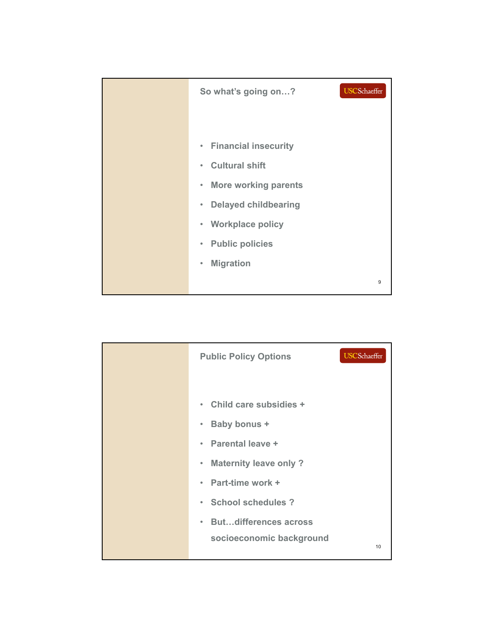| <b>USCS</b> chaeffer<br>So what's going on? |   |
|---------------------------------------------|---|
|                                             |   |
| • Financial insecurity                      |   |
| <b>Cultural shift</b><br>$\bullet$          |   |
| • More working parents                      |   |
| <b>Delayed childbearing</b><br>$\bullet$    |   |
| <b>Workplace policy</b><br>$\bullet$        |   |
| • Public policies                           |   |
| <b>Migration</b><br>$\bullet$               |   |
|                                             | 9 |

| <b>Public Policy Options</b>              | <b>USCS</b> chaeffer |
|-------------------------------------------|----------------------|
|                                           |                      |
| • Child care subsidies +                  |                      |
| Baby bonus +<br>$\bullet$                 |                      |
| • Parental leave +                        |                      |
| <b>Maternity leave only?</b><br>$\bullet$ |                      |
| • Part-time work +                        |                      |
| · School schedules?                       |                      |
| • Butdifferences across                   |                      |
| socioeconomic background                  | 10                   |